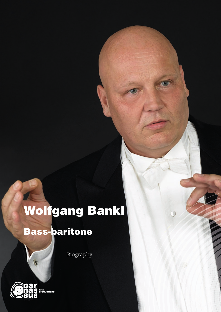## Wolfgang Bankl

## Bass-baritone

Biography